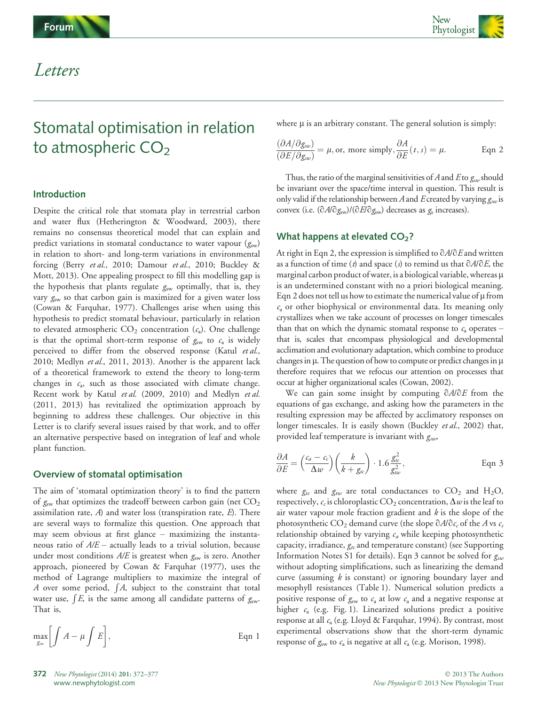

## Letters

# Stomatal optimisation in relation to atmospheric  $CO<sub>2</sub>$

### Introduction

Despite the critical role that stomata play in terrestrial carbon and water flux (Hetherington & Woodward, 2003), there remains no consensus theoretical model that can explain and predict variations in stomatal conductance to water vapour  $(g<sub>sw</sub>)$ in relation to short- and long-term variations in environmental forcing (Berry et al., 2010; Damour et al., 2010; Buckley & Mott, 2013). One appealing prospect to fill this modelling gap is the hypothesis that plants regulate  $g_{sw}$  optimally, that is, they vary  $g<sub>sw</sub>$  so that carbon gain is maximized for a given water loss (Cowan & Farquhar, 1977). Challenges arise when using this hypothesis to predict stomatal behaviour, particularly in relation to elevated atmospheric  $CO_2$  concentration ( $c_a$ ). One challenge is that the optimal short-term response of  $g<sub>sw</sub>$  to  $c<sub>a</sub>$  is widely perceived to differ from the observed response (Katul et al., 2010; Medlyn et al., 2011, 2013). Another is the apparent lack of a theoretical framework to extend the theory to long-term changes in  $c_a$ , such as those associated with climate change. Recent work by Katul et al. (2009, 2010) and Medlyn et al. (2011, 2013) has revitalized the optimization approach by beginning to address these challenges. Our objective in this Letter is to clarify several issues raised by that work, and to offer an alternative perspective based on integration of leaf and whole plant function.

#### Overview of stomatal optimisation

The aim of 'stomatal optimization theory' is to find the pattern of  $g<sub>sw</sub>$  that optimizes the tradeoff between carbon gain (net  $CO<sub>2</sub>$ ) assimilation rate,  $A$ ) and water loss (transpiration rate,  $E$ ). There are several ways to formalize this question. One approach that may seem obvious at first glance – maximizing the instantaneous ratio of  $A/E$  – actually leads to a trivial solution, because under most conditions  $A/E$  is greatest when  $g<sub>sw</sub>$  is zero. Another approach, pioneered by Cowan & Farquhar (1977), uses the method of Lagrange multipliers to maximize the integral of A over some period,  $\int A$ , subject to the constraint that total water use,  $\int\! E$ , is the same among all candidate patterns of  $g_{\rm sw}$ . That is,

$$
\max_{g_w} \left[ \int A - \mu \int E \right],
$$
 Eqn 1

where  $\mu$  is an arbitrary constant. The general solution is simply:

$$
\frac{(\partial A/\partial g_{sw})}{(\partial E/\partial g_{sw})} = \mu, \text{ or, more simply, } \frac{\partial A}{\partial E}(t,s) = \mu.
$$
 Eqn 2

Thus, the ratio of the marginal sensitivities of A and E to  $g_{\alpha\nu}$  should be invariant over the space/time interval in question. This result is only valid if the relationship between A and E created by varying  $g_{sw}$  is convex (i.e.  $(\partial A/\partial g_{sw})/(\partial E/\partial g_{sw})$  decreases as  $g_s$  increases).

#### What happens at elevated  $CO<sub>2</sub>$ ?

At right in Eqn 2, the expression is simplified to  $\partial A/\partial E$  and written as a function of time (t) and space (s) to remind us that  $\partial A/\partial E$ , the marginal carbon product of water, is a biological variable, whereas  $\mu$ is an undetermined constant with no a priori biological meaning. Eqn 2 does not tell us how to estimate the numerical value of  $\mu$  from  $c<sub>a</sub>$  or other biophysical or environmental data. Its meaning only crystallizes when we take account of processes on longer timescales than that on which the dynamic stomatal response to  $c_a$  operates – that is, scales that encompass physiological and developmental acclimation and evolutionary adaptation, which combine to produce changes in  $\mu$ . The question of how to compute or predict changes in  $\mu$ therefore requires that we refocus our attention on processes that occur at higher organizational scales (Cowan, 2002).

We can gain some insight by computing  $\partial A/\partial E$  from the equations of gas exchange, and asking how the parameters in the resulting expression may be affected by acclimatory responses on longer timescales. It is easily shown (Buckley et al., 2002) that, provided leaf temperature is invariant with  $g_{sw}$ ,

$$
\frac{\partial A}{\partial E} = \left(\frac{c_a - c_c}{\Delta w}\right) \left(\frac{k}{k + g_w}\right) \cdot 1.6 \frac{g_w^2}{g_{tw}^2}, \qquad \text{Eqn 3}
$$

where  $g_{tc}$  and  $g_{tw}$  are total conductances to CO<sub>2</sub> and H<sub>2</sub>O, respectively,  $c_c$  is chloroplastic CO<sub>2</sub> concentration,  $\Delta w$  is the leaf to air water vapour mole fraction gradient and  $k$  is the slope of the photosynthetic CO<sub>2</sub> demand curve (the slope  $\partial A/\partial c_c$  of the A vs  $c_c$ relationship obtained by varying  $c_a$  while keeping photosynthetic capacity, irradiance,  $g_{tc}$  and temperature constant) (see Supporting Information Notes S1 for details). Eqn 3 cannot be solved for  $g_{sw}$ without adopting simplifications, such as linearizing the demand curve (assuming  $k$  is constant) or ignoring boundary layer and mesophyll resistances (Table 1). Numerical solution predicts a positive response of  $g<sub>sw</sub>$  to  $c<sub>a</sub>$  at low  $c<sub>a</sub>$  and a negative response at higher  $c_a$  (e.g. Fig. 1). Linearized solutions predict a positive response at all  $c_a$  (e.g. Lloyd & Farquhar, 1994). By contrast, most experimental observations show that the short-term dynamic response of  $g<sub>sw</sub>$  to  $c<sub>a</sub>$  is negative at all  $c<sub>a</sub>$  (e.g. Morison, 1998).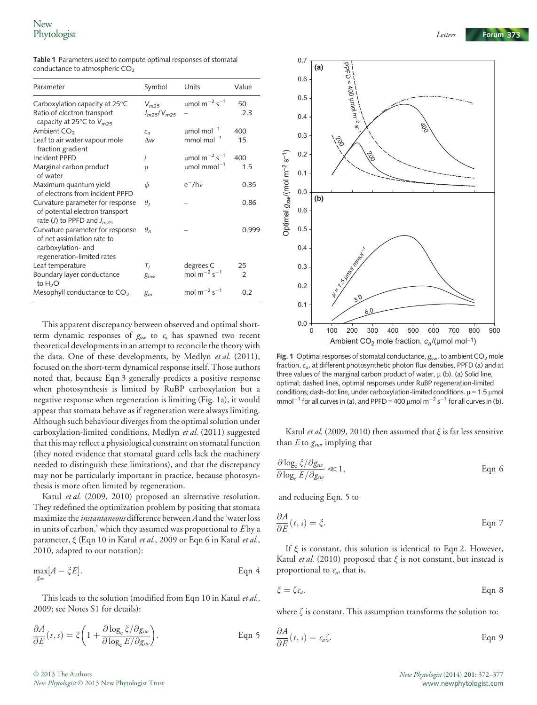| Table 1 Parameters used to compute optimal responses of stomatal |  |
|------------------------------------------------------------------|--|
| conductance to atmospheric $CO2$                                 |  |

| Parameter                                                                                                           | Symbol                         | Units                                     | Value          |
|---------------------------------------------------------------------------------------------------------------------|--------------------------------|-------------------------------------------|----------------|
| Carboxylation capacity at $25^{\circ}$ C<br>Ratio of electron transport<br>capacity at 25°C to V <sub>m25</sub>     | $V_{m25}$<br>$J_{m25}/V_{m25}$ | $\mu$ mol m <sup>-2</sup> s <sup>-1</sup> | 50<br>2.3      |
| Ambient $CO2$                                                                                                       | $C_{a}$                        | $\mu$ mol mol $^{-1}$                     | 400            |
| Leaf to air water vapour mole<br>fraction gradient                                                                  | $\Lambda w$                    | mmol mol $^{-1}$                          | 15             |
| Incident PPFD                                                                                                       | i                              | $\mu$ mol m <sup>-2</sup> s <sup>-1</sup> | 400            |
| Marginal carbon product<br>of water                                                                                 | μ                              | $\mu$ mol mmol <sup>-1</sup>              | 1.5            |
| Maximum quantum yield<br>of electrons from incident PPFD                                                            | $\phi$                         | $e^-$ /hv                                 | 0.35           |
| Curvature parameter for response<br>of potential electron transport<br>rate (J) to PPFD and $J_{m25}$               | $\theta_L$                     |                                           | 0.86           |
| Curvature parameter for response<br>of net assimilation rate to<br>carboxylation- and<br>regeneration-limited rates | $\theta$                       |                                           | 0.999          |
| Leaf temperature                                                                                                    | $T_I$                          | degrees C                                 | 25             |
| Boundary layer conductance<br>to $H_2O$                                                                             | gbw                            | mol $m^{-2}$ s <sup>-1</sup>              | $\overline{2}$ |
| Mesophyll conductance to $CO2$                                                                                      | $g_m$                          | mol $m^{-2} s^{-1}$                       | 0.2            |

This apparent discrepancy between observed and optimal shortterm dynamic responses of  $g<sub>sw</sub>$  to  $c<sub>a</sub>$  has spawned two recent theoretical developments in an attempt to reconcile the theory with the data. One of these developments, by Medlyn et al. (2011), focused on the short-term dynamical response itself. Those authors noted that, because Eqn 3 generally predicts a positive response when photosynthesis is limited by RuBP carboxylation but a negative response when regeneration is limiting (Fig. 1a), it would appear that stomata behave as if regeneration were always limiting. Although such behaviour diverges from the optimal solution under carboxylation-limited conditions, Medlyn et al. (2011) suggested that this may reflect a physiological constraint on stomatal function (they noted evidence that stomatal guard cells lack the machinery needed to distinguish these limitations), and that the discrepancy may not be particularly important in practice, because photosynthesis is more often limited by regeneration.

Katul et al. (2009, 2010) proposed an alternative resolution. They redefined the optimization problem by positing that stomata maximize the *instantaneous* difference between A and the 'water loss in units of carbon,' which they assumed was proportional to  $E$  by a parameter,  $\xi$  (Eqn 10 in Katul *et al.*, 2009 or Eqn 6 in Katul *et al.*, 2010, adapted to our notation):

$$
\max_{g_w} [A - \zeta E].
$$
 Eqn 4

This leads to the solution (modified from Eqn 10 in Katul et al., 2009; see Notes S1 for details):

$$
\frac{\partial A}{\partial E}(t,s) = \xi \left( 1 + \frac{\partial \log_e \xi / \partial g_{sw}}{\partial \log_e E / \partial g_{sw}} \right).
$$
 Eqn 5



Fig. 1 Optimal responses of stomatal conductance,  $g_{sw}$ , to ambient  $CO<sub>2</sub>$  mole fraction,  $c_{a}$ , at different photosynthetic photon flux densities, PPFD (a) and at three values of the marginal carbon product of water,  $\mu$  (b). (a) Solid line, optimal; dashed lines, optimal responses under RuBP regeneration-limited conditions; dash-dot line, under carboxylation-limited conditions.  $\mu$  = 1.5  $\mu$ mol mmol<sup>-1</sup> for all curves in (a), and PPFD = 400  $\mu$ mol m<sup>-2</sup> s<sup>-1</sup> for all curves in (b).

Katul et al. (2009, 2010) then assumed that  $\xi$  is far less sensitive than  $E$  to  $g_{sw}$  implying that

$$
\frac{\partial \log_{e} \xi / \partial g_{sw}}{\partial \log_{e} E / \partial g_{sw}} \ll 1, \qquad \text{Eqn 6}
$$

and reducing Eqn. 5 to

$$
\frac{\partial A}{\partial E}(t,s) = \xi.
$$
 Eqn 7

If  $\xi$  is constant, this solution is identical to Eqn 2. However, Katul et al. (2010) proposed that  $\xi$  is not constant, but instead is proportional to  $c_a$ , that is,

$$
\xi = \zeta c_a. \tag{Eqn 8}
$$

where  $\zeta$  is constant. This assumption transforms the solution to:

$$
\frac{\partial A}{\partial E}(t,s) = c_a \zeta.
$$
 Eqn 9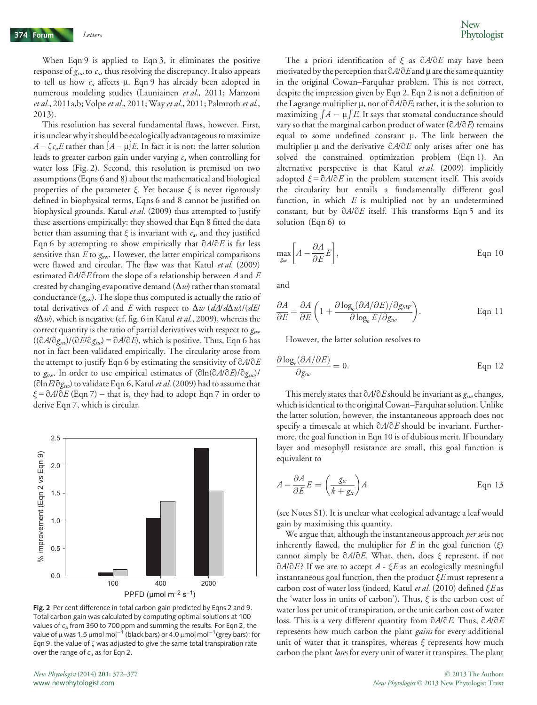When Eqn 9 is applied to Eqn 3, it eliminates the positive response of  $g_{sw}$  to  $c_a$ , thus resolving the discrepancy. It also appears to tell us how  $c_a$  affects  $\mu$ . Eqn 9 has already been adopted in numerous modeling studies (Launiainen et al., 2011; Manzoni et al., 2011a,b; Volpe et al., 2011; Way et al., 2011; Palmroth et al., 2013).

This resolution has several fundamental flaws, however. First, it is unclear why it should be ecologically advantageous to maximize  $A - \zeta c_a E$  rather than  $A - \mu E$ . In fact it is not: the latter solution leads to greater carbon gain under varying  $c_a$  when controlling for water loss (Fig. 2). Second, this resolution is premised on two assumptions (Eqns 6 and 8) about the mathematical and biological properties of the parameter  $\xi$ . Yet because  $\xi$  is never rigorously defined in biophysical terms, Eqns 6 and 8 cannot be justified on biophysical grounds. Katul et al. (2009) thus attempted to justify these assertions empirically: they showed that Eqn 8 fitted the data better than assuming that  $\xi$  is invariant with  $c_a$ , and they justified Eqn 6 by attempting to show empirically that  $\partial A/\partial E$  is far less sensitive than  $E$  to  $g<sub>sw</sub>$ . However, the latter empirical comparisons were flawed and circular. The flaw was that Katul et al. (2009) estimated  $\partial A/\partial E$  from the slope of a relationship between A and E created by changing evaporative demand  $(\Delta w)$  rather than stomatal conductance  $(g<sub>sw</sub>)$ . The slope thus computed is actually the ratio of total derivatives of A and E with respect to  $\Delta w$  ( $dA/d\Delta w$ )/( $dE$ )  $d\Delta w$ , which is negative (cf. fig. 6 in Katul *et al.*, 2009), whereas the correct quantity is the ratio of partial derivatives with respect to  $g_{sw}$  $((\partial A/\partial g_{sw})/(\partial E/\partial g_{sw}) = \partial A/\partial E$ , which is positive. Thus, Eqn 6 has not in fact been validated empirically. The circularity arose from the attempt to justify Eqn 6 by estimating the sensitivity of  $\partial A/\partial E$ to  $g_{sw}$ . In order to use empirical estimates of  $(\partial \ln(\partial A/\partial E)/\partial g_{sw})/$ ( $\partial \ln E / \partial g_{sw}$ ) to validate Eqn 6, Katul et al. (2009) had to assume that  $\xi = \partial A/\partial E$  (Eqn 7) – that is, they had to adopt Eqn 7 in order to derive Eqn 7, which is circular.



Fig. 2 Per cent difference in total carbon gain predicted by Eqns 2 and 9. Total carbon gain was calculated by computing optimal solutions at 100 values of  $c_a$  from 350 to 700 ppm and summing the results. For Eqn 2, the value of  $\mu$  was 1.5  $\mu$ mol mol $^{-1}$  (black bars) or 4.0  $\mu$ mol mol $^{-1}$ (grey bars); for Eqn 9, the value of  $\zeta$  was adjusted to give the same total transpiration rate over the range of  $c_a$  as for Eqn 2.

The a priori identification of  $\xi$  as  $\partial A/\partial E$  may have been motivated by the perception that  $\partial A/\partial E$  and  $\mu$  are the same quantity in the original Cowan–Farquhar problem. This is not correct, despite the impression given by Eqn 2. Eqn 2 is not a definition of the Lagrange multiplier  $\mu$ , nor of  $\partial A/\partial E$ ; rather, it is the solution to maximizing  $\int A - \mu \int E$ . It says that stomatal conductance should vary so that the marginal carbon product of water  $(\partial A/\partial E)$  remains equal to some undefined constant  $\mu$ . The link between the multiplier  $\mu$  and the derivative  $\partial A/\partial E$  only arises after one has solved the constrained optimization problem (Eqn 1). An alternative perspective is that Katul et al. (2009) implicitly adopted  $\xi = 0A/0E$  in the problem statement itself. This avoids the circularity but entails a fundamentally different goal function, in which  $E$  is multiplied not by an undetermined constant, but by  $\partial A/\partial E$  itself. This transforms Eqn 5 and its solution (Eqn 6) to

$$
\max_{g_{\text{new}}} \left[ A - \frac{\partial A}{\partial E} E \right], \tag{Eqn 10}
$$

and

$$
\frac{\partial A}{\partial E} = \frac{\partial A}{\partial E} \left( 1 + \frac{\partial \log_e(\partial A/\partial E)/\partial g_{SW}}{\partial \log_e E/\partial g_{sw}} \right).
$$
 Eqn 11

However, the latter solution resolves to

$$
\frac{\partial \log_e(\partial A/\partial E)}{\partial g_{sw}} = 0.
$$
 Eqn 12

This merely states that  $\partial A/\partial E$  should be invariant as  $g_{sw}$  changes, which is identical to the original Cowan–Farquhar solution. Unlike the latter solution, however, the instantaneous approach does not specify a timescale at which  $\partial A/\partial E$  should be invariant. Furthermore, the goal function in Eqn 10 is of dubious merit. If boundary layer and mesophyll resistance are small, this goal function is equivalent to

$$
A - \frac{\partial A}{\partial E} E = \left(\frac{g_{tc}}{k + g_{tc}}\right) A
$$
 Eqn 13

(see Notes S1). It is unclear what ecological advantage a leaf would gain by maximising this quantity.

We argue that, although the instantaneous approach *per se* is not inherently flawed, the multiplier for E in the goal function  $(\xi)$ cannot simply be  $\partial A/\partial E$ . What, then, does  $\xi$  represent, if not  $\partial A/\partial E$ ? If we are to accept A -  $\mathcal{E}E$  as an ecologically meaningful instantaneous goal function, then the product  $\xi E$  must represent a carbon cost of water loss (indeed, Katul et al. (2010) defined  $\xi E$  as the 'water loss in units of carbon'). Thus,  $\xi$  is the carbon cost of water loss per unit of transpiration, or the unit carbon cost of water loss. This is a very different quantity from  $\partial A/\partial E$ . Thus,  $\partial A/\partial E$ represents how much carbon the plant *gains* for every additional unit of water that it transpires, whereas  $\xi$  represents how much carbon the plant *loses* for every unit of water it transpires. The plant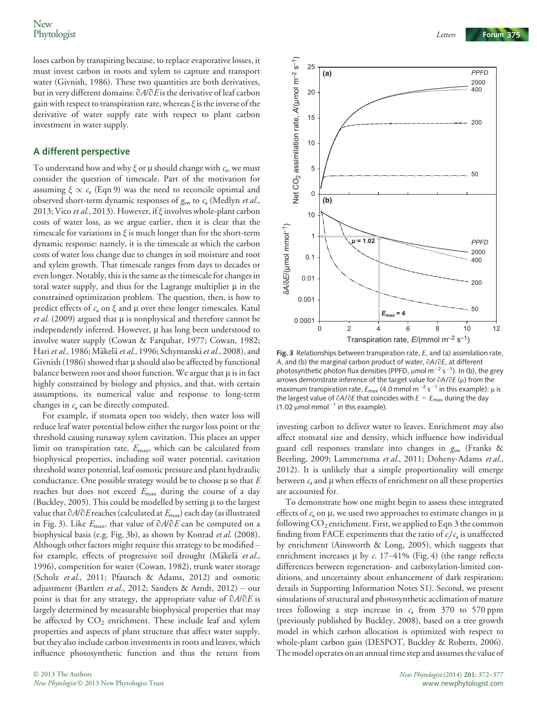loses carbon by transpiring because, to replace evaporative losses, it must invest carbon in roots and xylem to capture and transport water (Givnish, 1986). These two quantities are both derivatives, but in very different domains:  $\partial A/\partial E$  is the derivative of leaf carbon gain with respect to transpiration rate, whereas  $\xi$  is the inverse of the derivative of water supply rate with respect to plant carbon investment in water supply.

#### A different perspective

To understand how and why  $\xi$  or  $\mu$  should change with  $c_a$ , we must consider the question of timescale. Part of the motivation for assuming  $\xi \propto c_a$  (Eqn 9) was the need to reconcile optimal and observed short-term dynamic responses of  $g<sub>sw</sub>$  to  $c<sub>a</sub>$  (Medlyn *et al.*, 2013; Vico et al., 2013). However, if ξ involves whole-plant carbon costs of water loss, as we argue earlier, then it is clear that the timescale for variations in  $\xi$  is much longer than for the short-term dynamic response: namely, it is the timescale at which the carbon costs of water loss change due to changes in soil moisture and root and xylem growth. That timescale ranges from days to decades or even longer. Notably, this is the same as the timescale for changes in total water supply, and thus for the Lagrange multiplier  $\mu$  in the constrained optimization problem. The question, then, is how to predict effects of  $c_a$  on  $\xi$  and  $\mu$  over these longer timescales. Katul *et al.* (2009) argued that  $\mu$  is nonphysical and therefore cannot be independently inferred. However,  $\mu$  has long been understood to involve water supply (Cowan & Farquhar, 1977; Cowan, 1982; Hari et al., 1986; Mäkelä et al., 1996; Schymanski et al., 2008), and Givnish (1986) showed that  $\mu$  should also be affected by functional balance between root and shoot function. We argue that  $\mu$  is in fact highly constrained by biology and physics, and that, with certain assumptions, its numerical value and response to long-term changes in  $c_a$  can be directly computed.

For example, if stomata open too widely, then water loss will reduce leaf water potential below either the turgor loss point or the threshold causing runaway xylem cavitation. This places an upper limit on transpiration rate,  $E_{\text{max}}$ , which can be calculated from biophysical properties, including soil water potential, cavitation threshold water potential, leaf osmotic pressure and plant hydraulic conductance. One possible strategy would be to choose  $\mu$  so that E reaches but does not exceed Emax during the course of a day (Buckley, 2005). This could be modelled by setting  $\mu$  to the largest value that  $\partial A/\partial E$  reaches (calculated at  $E_{\text{max}}$ ) each day (as illustrated in Fig. 3). Like  $E_{\text{max}}$ , that value of  $\partial A/\partial E$  can be computed on a biophysical basis (e.g. Fig. 3b), as shown by Konrad et al. (2008). Although other factors might require this strategy to be modified – for example, effects of progressive soil drought (Mäkelä et al., 1996), competition for water (Cowan, 1982), trunk water storage (Scholz et al., 2011; Pfautsch & Adams, 2012) and osmotic adjustment (Bartlett et al., 2012; Sanders & Arndt, 2012) – our point is that for any strategy, the appropriate value of  $\partial A/\partial E$  is largely determined by measurable biophysical properties that may be affected by  $CO<sub>2</sub>$  enrichment. These include leaf and xylem properties and aspects of plant structure that affect water supply, but they also include carbon investments in roots and leaves, which influence photosynthetic function and thus the return from



Fig. 3 Relationships between transpiration rate,  $E$ , and (a) assimilation rate,  $A$ , and (b) the marginal carbon product of water,  $\partial A / \partial E$ , at different A, and (b) the marginal carbon product of water, ∂A/∂E, at different<br>photosynthetic photon flux densities (PPFD, µmol m<sup>−2</sup> s<sup>−1</sup>). In (b), the grey arrows demonstrate inference of the target value for ∂A/∂E (μ) from the<br>maximum transpiration rate, E<sub>max</sub> (4.0 mmol m<sup>-2</sup> s<sup>-1</sup> in this example): μ is<br>the largest value of ∂A/∂E that coincides with E = E aduring the day the largest value of  $\partial A/\partial E$  that coincides with  $E = E_{\text{max}}$  during the day (1.02  $\mu$ mol mmol<sup>-1</sup> in this example).

investing carbon to deliver water to leaves. Enrichment may also affect stomatal size and density, which influence how individual guard cell responses translate into changes in  $g_{sw}$  (Franks & Beerling, 2009; Lammertsma et al., 2011; Doheny-Adams et al., 2012). It is unlikely that a simple proportionality will emerge between  $c_a$  and  $\mu$  when effects of enrichment on all these properties are accounted for.

To demonstrate how one might begin to assess these integrated effects of  $c_a$  on  $\mu$ , we used two approaches to estimate changes in  $\mu$ following  $CO_2$  enrichment. First, we applied to Eqn 3 the common finding from FACE experiments that the ratio of  $c_i/c_a$  is unaffected by enrichment (Ainsworth & Long, 2005), which suggests that enrichment increases  $\mu$  by c. 17–41% (Fig. 4) (the range reflects differences between regeneration- and carboxylation-limited conditions, and uncertainty about enhancement of dark respiration; details in Supporting Information Notes S1). Second, we present simulations of structural and photosynthetic acclimation of mature trees following a step increase in  $c_a$  from 370 to 570 ppm (previously published by Buckley, 2008), based on a tree growth model in which carbon allocation is optimized with respect to whole-plant carbon gain (DESPOT, Buckley & Roberts, 2006). The model operates on an annual time step and assumes the value of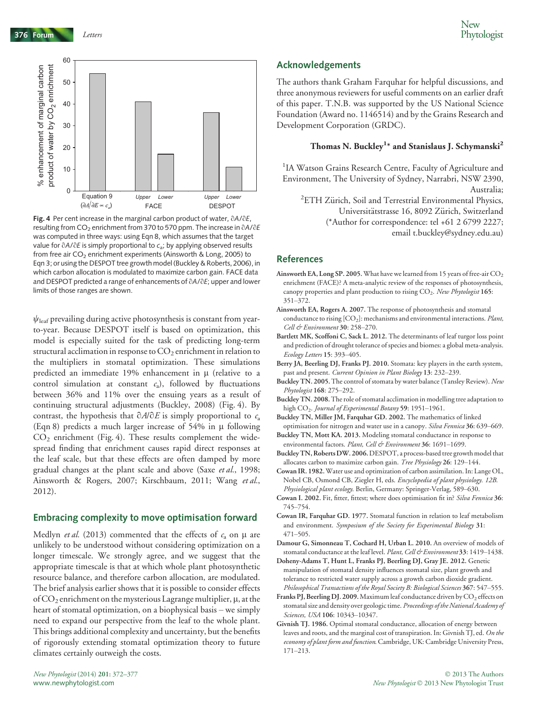376 Forum Letters



Fig. 4 Per cent increase in the marginal carbon product of water,  $\partial A/\partial E$ , resulting from  $CO<sub>2</sub>$  enrichment from 370 to 570 ppm. The increase in  $\partial A/\partial E$ was computed in three ways: using Eqn 8, which assumes that the target value for  $\partial A/\partial E$  is simply proportional to  $c_a$ ; by applying observed results from free air  $CO<sub>2</sub>$  enrichment experiments (Ainsworth & Long, 2005) to Eqn 3; or using the DESPOT tree growth model (Buckley & Roberts, 2006), in which carbon allocation is modulated to maximize carbon gain. FACE data and DESPOT predicted a range of enhancements of  $\partial A/\partial E$ ; upper and lower limits of those ranges are shown.

 $\psi_{\text{leaf}}$  prevailing during active photosynthesis is constant from yearto-year. Because DESPOT itself is based on optimization, this model is especially suited for the task of predicting long-term structural acclimation in response to  $CO<sub>2</sub>$  enrichment in relation to the multipliers in stomatal optimization. These simulations predicted an immediate 19% enhancement in  $\mu$  (relative to a control simulation at constant  $c_a$ ), followed by fluctuations between 36% and 11% over the ensuing years as a result of continuing structural adjustments (Buckley, 2008) (Fig. 4). By contrast, the hypothesis that  $\partial A/\partial E$  is simply proportional to  $c_a$ (Eqn 8) predicts a much larger increase of  $54\%$  in  $\mu$  following  $CO<sub>2</sub>$  enrichment (Fig. 4). These results complement the widespread finding that enrichment causes rapid direct responses at the leaf scale, but that these effects are often damped by more gradual changes at the plant scale and above (Saxe et al., 1998; Ainsworth & Rogers, 2007; Kirschbaum, 2011; Wang et al., 2012).

### Embracing complexity to move optimisation forward

Medlyn *et al.* (2013) commented that the effects of  $c_a$  on  $\mu$  are unlikely to be understood without considering optimization on a longer timescale. We strongly agree, and we suggest that the appropriate timescale is that at which whole plant photosynthetic resource balance, and therefore carbon allocation, are modulated. The brief analysis earlier shows that it is possible to consider effects of  $CO_2$  enrichment on the mysterious Lagrange multiplier,  $\mu$ , at the heart of stomatal optimization, on a biophysical basis – we simply need to expand our perspective from the leaf to the whole plant. This brings additional complexity and uncertainty, but the benefits of rigorously extending stomatal optimization theory to future climates certainly outweigh the costs.

## Acknowledgements

The authors thank Graham Farquhar for helpful discussions, and three anonymous reviewers for useful comments on an earlier draft of this paper. T.N.B. was supported by the US National Science Foundation (Award no. 1146514) and by the Grains Research and Development Corporation (GRDC).

## Thomas N. Buckley<sup>1</sup>\* and Stanislaus J. Schymanski<sup>2</sup>

<sup>1</sup>IA Watson Grains Research Centre, Faculty of Agriculture and Environment, The University of Sydney, Narrabri, NSW 2390, Australia;<br><sup>2</sup>ETH Zürich, Soil and Terrestrial Environmental Physics,

Universitätstrasse 16, 8092 Zürich, Switzerland

(\*Author for correspondence: tel +61 2 6799 2227;

email t.buckley@sydney.edu.au)

### References

- Ainsworth EA, Long SP. 2005. What have we learned from 15 years of free-air  $\mathrm{CO}_2$ enrichment (FACE)? A meta-analytic review of the responses of photosynthesis, canopy properties and plant production to rising  $CO<sub>2</sub>$ . New Phytologist 165: 351–372.
- Ainsworth EA, Rogers A. 2007. The response of photosynthesis and stomatal conductance to rising  $[CO_2]$ : mechanisms and environmental interactions. Plant, Cell & Environment 30: 258–270.
- Bartlett MK, Scoffoni C, Sack L. 2012. The determinants of leaf turgor loss point and prediction of drought tolerance of species and biomes: a global meta-analysis. Ecology Letters 15: 393–405.
- Berry JA, Beerling DJ, Franks PJ. 2010. Stomata: key players in the earth system, past and present. Current Opinion in Plant Biology 13: 232–239.
- Buckley TN. 2005. The control of stomata by water balance (Tansley Review). New Phytologist 168: 275–292.
- Buckley TN. 2008.The role of stomatal acclimation in modelling tree adaptation to high CO<sub>2</sub>. Journal of Experimental Botany 59: 1951-1961.
- Buckley TN, Miller JM, Farquhar GD. 2002. The mathematics of linked optimisation for nitrogen and water use in a canopy. Silva Fennica 36: 639–669.
- Buckley TN, Mott KA. 2013. Modeling stomatal conductance in response to environmental factors. Plant, Cell & Environment 36: 1691-1699.
- Buckley TN, Roberts DW. 2006.DESPOT, a process-based tree growth model that allocates carbon to maximize carbon gain. Tree Physiology 26: 129–144.
- Cowan IR. 1982.Water use and optimization of carbon assimilation. In: Lange OL, Nobel CB, Osmond CB, Ziegler H, eds. Encyclopedia of plant physiology. 12B. Physiological plant ecology. Berlin, Germany: Springer-Verlag, 589–630.
- Cowan I. 2002. Fit, fitter, fittest; where does optimisation fit in? Silva Fennica 36: 745–754.
- Cowan IR, Farquhar GD. 1977. Stomatal function in relation to leaf metabolism and environment. Symposium of the Society for Experimental Biology 31: 471–505.
- Damour G, Simonneau T, Cochard H, Urban L. 2010. An overview of models of stomatal conductance at the leaf level. Plant, Cell & Environment 33: 1419-1438.
- Doheny-Adams T, Hunt L, Franks PJ, Beerling DJ, Gray JE. 2012. Genetic manipulation of stomatal density influences stomatal size, plant growth and tolerance to restricted water supply across a growth carbon dioxide gradient. Philosophical Transactions of the Royal Society B: Biological Sciences 367: 547–555.
- Franks PJ, Beerling DJ. 2009. Maximum leaf conductance driven by  $CO_2$  effects on stomatal size and density over geologic time. Proceedings of the National Academy of Sciences, USA 106: 10343-10347.
- Givnish TJ. 1986. Optimal stomatal conductance, allocation of energy between leaves and roots, and the marginal cost of transpiration. In: Givnish TJ, ed. On the economy of plant form and function. Cambridge, UK: Cambridge University Press, 171–213.